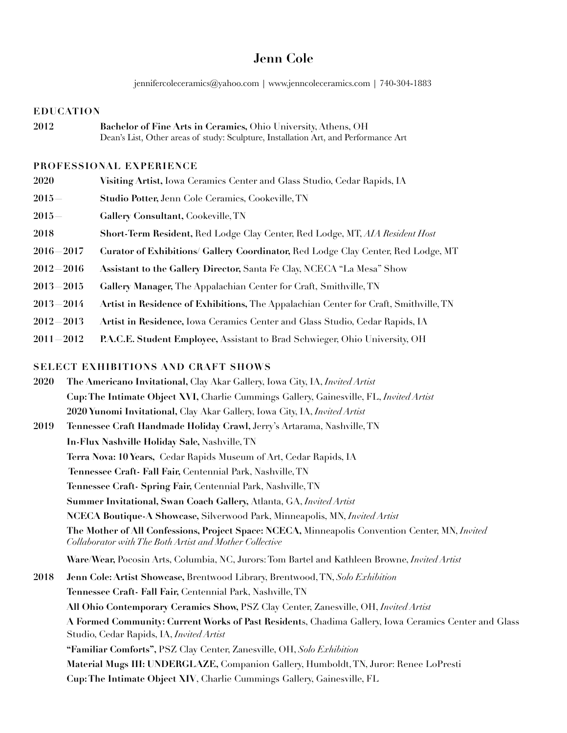# **Jenn Cole**

jennifercoleceramics@yahoo.com | www.jenncoleceramics.com | 740-304-1883

#### **EDUCATION**

**2012 Bachelor of Fine Arts in Ceramics,** Ohio University, Athens, OH Dean's List, Other areas of study: Sculpture, Installation Art, and Performance Art

#### **PROFESSIONAL EXPERIENCE**

**2020 Visiting Artist,** Iowa Ceramics Center and Glass Studio, Cedar Rapids, IA **2015— Studio Potter,** Jenn Cole Ceramics, Cookeville, TN **2015— Gallery Consultant,** Cookeville, TN **2018 Short-Term Resident,** Red Lodge Clay Center, Red Lodge, MT, *AIA Resident Host* **2016—2017 Curator of Exhibitions/ Gallery Coordinator,** Red Lodge Clay Center, Red Lodge, MT **2012—2016 Assistant to the Gallery Director,** Santa Fe Clay, NCECA "La Mesa" Show **2013—2015 Gallery Manager,** The Appalachian Center for Craft, Smithville, TN **2013—2014 Artist in Residence of Exhibitions,** The Appalachian Center for Craft, Smithville, TN **2012—2013 Artist in Residence,** Iowa Ceramics Center and Glass Studio, Cedar Rapids, IA **2011—2012 P.A.C.E. Student Employee,** Assistant to Brad Schwieger, Ohio University, OH

# **SELECT EXHIBITIONS AND CRAFT SHOWS**

- **2020 The Americano Invitational,** Clay Akar Gallery, Iowa City, IA, *Invited Artist*  **Cup: The Intimate Object XVI,** Charlie Cummings Gallery, Gainesville, FL, *Invited Artist*  **2020 Yunomi Invitational,** Clay Akar Gallery, Iowa City, IA, *Invited Artist* **2019 Tennessee Craft Handmade Holiday Crawl,** Jerry's Artarama, Nashville, TN **In-Flux Nashville Holiday Sale,** Nashville, TN  **Terra Nova: 10 Years,** Cedar Rapids Museum of Art, Cedar Rapids, IA  **Tennessee Craft- Fall Fair,** Centennial Park, Nashville, TN  **Tennessee Craft- Spring Fair,** Centennial Park, Nashville, TN  **Summer Invitational, Swan Coach Gallery,** Atlanta, GA, *Invited Artist*  **NCECA Boutique-A Showcase,** Silverwood Park, Minneapolis, MN, *Invited Artist*  **The Mother of All Confessions, Project Space: NCECA,** Minneapolis Convention Center, MN, *Invited Collaborator with The Both Artist and Mother Collective*   **Ware/Wear,** Pocosin Arts, Columbia, NC, Jurors: Tom Bartel and Kathleen Browne, *Invited Artist*
- **2018 Jenn Cole: Artist Showcase,** Brentwood Library, Brentwood, TN, *Solo Exhibition* **Tennessee Craft- Fall Fair,** Centennial Park, Nashville, TN **All Ohio Contemporary Ceramics Show,** PSZ Clay Center, Zanesville, OH, *Invited Artist*  **A Formed Community: Current Works of Past Resident**s, Chadima Gallery, Iowa Ceramics Center and Glass Studio, Cedar Rapids, IA, *Invited Artist* **"Familiar Comforts",** PSZ Clay Center, Zanesville, OH, *Solo Exhibition* **Material Mugs III: UNDERGLAZE,** Companion Gallery, Humboldt, TN, Juror: Renee LoPresti **Cup: The Intimate Object XIV**, Charlie Cummings Gallery, Gainesville, FL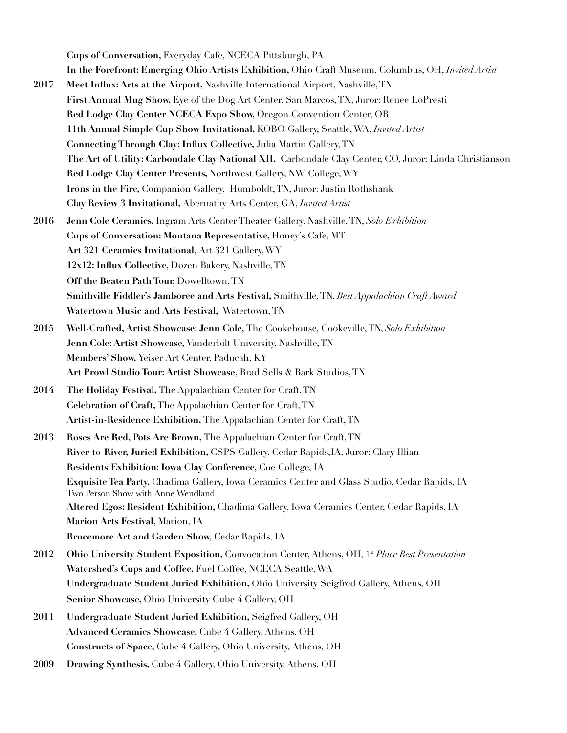**Cups of Conversation,** Everyday Cafe, NCECA Pittsburgh, PA **In the Forefront: Emerging Ohio Artists Exhibition,** Ohio Craft Museum, Columbus, OH, *Invited Artist* 

- **2017 Meet Influx: Arts at the Airport,** Nashville International Airport, Nashville, TN  **First Annual Mug Show,** Eye of the Dog Art Center, San Marcos, TX, Juror: Renee LoPresti  **Red Lodge Clay Center NCECA Expo Show,** Oregon Convention Center, OR  **11th Annual Simple Cup Show Invitational,** KOBO Gallery, Seattle, WA, *Invited Artist*  **Connecting Through Clay: Influx Collective,** Julia Martin Gallery, TN  **The Art of Utility: Carbondale Clay National XII,** Carbondale Clay Center, CO, Juror: Linda Christianson  **Red Lodge Clay Center Presents,** Northwest Gallery, NW College, WY  **Irons in the Fire,** Companion Gallery, Humboldt, TN, Juror: Justin Rothshank **Clay Review 3 Invitational,** Abernathy Arts Center, GA, *Invited Artist*
- **2016 Jenn Cole Ceramics,** Ingram Arts Center Theater Gallery, Nashville, TN, *Solo Exhibition*  **Cups of Conversation: Montana Representative,** Honey's Cafe, MT  **Art 321 Ceramics Invitational,** Art 321 Gallery, WY  **12x12: Influx Collective,** Dozen Bakery, Nashville, TN **Off the Beaten Path Tour,** Dowelltown, TN  **Smithville Fiddler's Jamboree and Arts Festival,** Smithville, TN, *Best Appalachian Craft Award*  **Watertown Music and Arts Festival,** Watertown, TN
- **2015 Well-Crafted, Artist Showcase: Jenn Cole,** The Cookehouse, Cookeville, TN, *Solo Exhibition*  **Jenn Cole: Artist Showcase,** Vanderbilt University, Nashville, TN **Members' Show,** Yeiser Art Center, Paducah, KY **Art Prowl Studio Tour: Artist Showcase**, Brad Sells & Bark Studios, TN
- **2014 The Holiday Festival,** The Appalachian Center for Craft, TN  **Celebration of Craft,** The Appalachian Center for Craft, TN  **Artist-in-Residence Exhibition,** The Appalachian Center for Craft, TN
- **2013 Roses Are Red, Pots Are Brown,** The Appalachian Center for Craft, TN **River-to-River, Juried Exhibition,** CSPS Gallery, Cedar Rapids,IA, Juror: Clary Illian  **Residents Exhibition: Iowa Clay Conference,** Coe College, IA **Exquisite Tea Party,** Chadima Gallery, Iowa Ceramics Center and Glass Studio, Cedar Rapids, IA Two Person Show with Anne Wendland **Altered Egos: Resident Exhibition,** Chadima Gallery, Iowa Ceramics Center, Cedar Rapids, IA  **Marion Arts Festival,** Marion, IA  **Brucemore Art and Garden Show,** Cedar Rapids, IA
- 2012 Ohio University Student Exposition, Convocation Center, Athens, OH, 1st Place Best Presentation **Watershed's Cups and Coffee,** Fuel Coffee, NCECA Seattle, WA **Undergraduate Student Juried Exhibition,** Ohio University Seigfred Gallery, Athens, OH **Senior Showcase,** Ohio University Cube 4 Gallery, OH
- **2011 Undergraduate Student Juried Exhibition,** Seigfred Gallery, OH  **Advanced Ceramics Showcase,** Cube 4 Gallery, Athens, OH **Constructs of Space,** Cube 4 Gallery, Ohio University, Athens, OH
- **2009 Drawing Synthesis,** Cube 4 Gallery, Ohio University, Athens, OH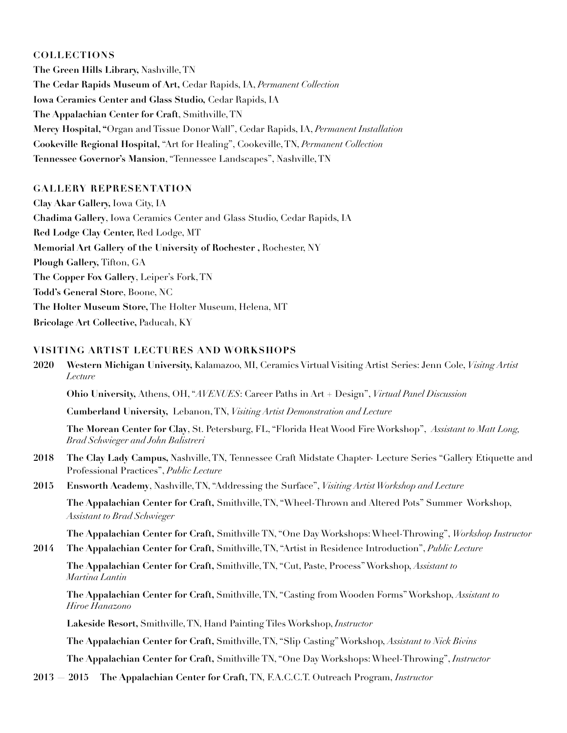### **COLLECTIONS**

**The Green Hills Library,** Nashville, TN **The Cedar Rapids Museum of Art,** Cedar Rapids, IA, *Permanent Collection* **Iowa Ceramics Center and Glass Studio,** Cedar Rapids, IA **The Appalachian Center for Craft**, Smithville, TN **Mercy Hospital, "**Organ and Tissue Donor Wall", Cedar Rapids, IA, *Permanent Installation* **Cookeville Regional Hospital,** "Art for Healing", Cookeville, TN, *Permanent Collection* **Tennessee Governor's Mansion**, "Tennessee Landscapes", Nashville, TN

# **GALLERY REPRESENTATION**

**Clay Akar Gallery,** Iowa City, IA **Chadima Gallery**, Iowa Ceramics Center and Glass Studio, Cedar Rapids, IA **Red Lodge Clay Center,** Red Lodge, MT **Memorial Art Gallery of the University of Rochester ,** Rochester, NY **Plough Gallery,** Tifton, GA **The Copper Fox Gallery**, Leiper's Fork, TN **Todd's General Store**, Boone, NC **The Holter Museum Store,** The Holter Museum, Helena, MT **Bricolage Art Collective,** Paducah, KY

# **VISITING ARTIST LECTURES AND WORKSHOPS**

**2020 Western Michigan University,** Kalamazoo, MI, Ceramics Virtual Visiting Artist Series: Jenn Cole, *Visitng Artist Lecture* 

 **Ohio University,** Athens, OH, "*AVENUES*: Career Paths in Art + Design", *Virtual Panel Discussion*

 **Cumberland University,** Lebanon, TN, *Visiting Artist Demonstration and Lecture* 

 **The Morean Center for Clay**, St. Petersburg, FL, "Florida Heat Wood Fire Workshop", *Assistant to Matt Long, Brad Schwieger and John Balistreri*

- **2018 The Clay Lady Campus,** Nashville, TN, Tennessee Craft Midstate Chapter- Lecture Series "Gallery Etiquette and Professional Practices", *Public Lecture*
- **2015 Ensworth Academy**, Nashville, TN, "Addressing the Surface", *Visiting Artist Workshop and Lecture*

**The Appalachian Center for Craft,** Smithville, TN, "Wheel-Thrown and Altered Pots" Summer Workshop, *Assistant to Brad Schwieger* 

**The Appalachian Center for Craft,** Smithville TN, "One Day Workshops: Wheel-Throwing", *Workshop Instructor*

**2014 The Appalachian Center for Craft,** Smithville, TN, "Artist in Residence Introduction", *Public Lecture* 

**The Appalachian Center for Craft,** Smithville, TN, "Cut, Paste, Process" Workshop, *Assistant to Martina Lantin* 

**The Appalachian Center for Craft,** Smithville, TN, "Casting from Wooden Forms" Workshop, *Assistant to Hiroe Hanazono* 

**Lakeside Resort,** Smithville, TN, Hand Painting Tiles Workshop, *Instructor* 

**The Appalachian Center for Craft,** Smithville, TN, "Slip Casting" Workshop, *Assistant to Nick Bivins* 

**The Appalachian Center for Craft,** Smithville TN, "One Day Workshops: Wheel-Throwing", *Instructor*

**2013 — 2015 The Appalachian Center for Craft,** TN, F.A.C.C.T. Outreach Program, *Instructor*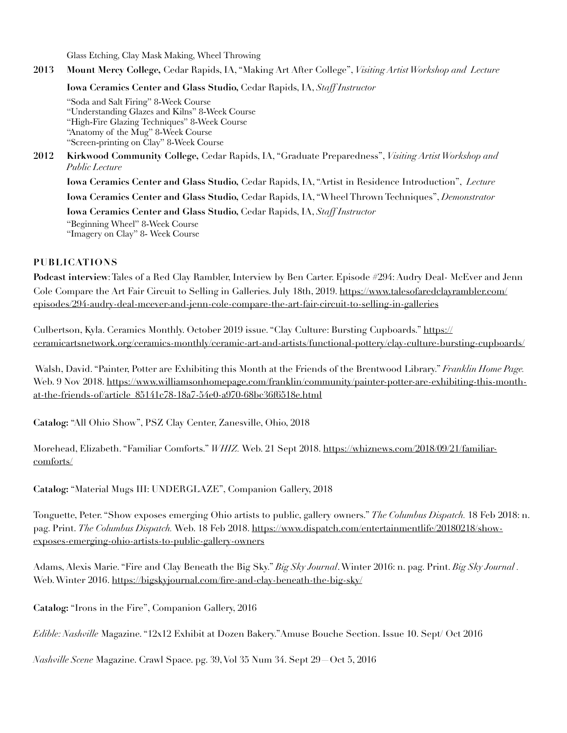Glass Etching, Clay Mask Making, Wheel Throwing

**2013 Mount Mercy College,** Cedar Rapids, IA, "Making Art After College", *Visiting Artist Workshop and Lecture* 

**Iowa Ceramics Center and Glass Studio,** Cedar Rapids, IA, *Staff Instructor*

"Soda and Salt Firing" 8-Week Course "Understanding Glazes and Kilns" 8-Week Course "High-Fire Glazing Techniques" 8-Week Course "Anatomy of the Mug" 8-Week Course "Screen-printing on Clay" 8-Week Course

**2012 Kirkwood Community College,** Cedar Rapids, IA, "Graduate Preparedness", *Visiting Artist Workshop and Public Lecture*

 **Iowa Ceramics Center and Glass Studio,** Cedar Rapids, IA, "Artist in Residence Introduction", *Lecture* **Iowa Ceramics Center and Glass Studio,** Cedar Rapids, IA, "Wheel Thrown Techniques", *Demonstrator*

 **Iowa Ceramics Center and Glass Studio,** Cedar Rapids, IA, *Staff Instructor* 

"Beginning Wheel" 8-Week Course "Imagery on Clay" 8- Week Course

### **PUBLICATIONS**

**Podcast interview**: Tales of a Red Clay Rambler, Interview by Ben Carter. Episode #294: Audry Deal- McEver and Jenn [Cole Compare the Art Fair Circuit to Selling in Galleries. July 18th, 2019. https://www.talesofaredclayrambler.com/](https://www.talesofaredclayrambler.com/episodes/294-audry-deal-mcever-and-jenn-cole-compare-the-art-fair-circuit-to-selling-in-galleries) episodes/294-audry-deal-mcever-and-jenn-cole-compare-the-art-fair-circuit-to-selling-in-galleries

Culbertson, Kyla. Ceramics Monthly. October 2019 issue. "Clay Culture: Bursting Cupboards." https:// [ceramicartsnetwork.org/ceramics-monthly/ceramic-art-and-artists/functional-pottery/clay-culture-bursting-cupboards/](https://ceramicartsnetwork.org/ceramics-monthly/ceramic-art-and-artists/functional-pottery/clay-culture-bursting-cupboards/)

 Walsh, David. "Painter, Potter are Exhibiting this Month at the Friends of the Brentwood Library." *Franklin Home Page.*  Web. [9 Nov 2018. https://www.williamsonhomepage.com/franklin/community/painter-potter-are-exhibiting-this-month](https://www.williamsonhomepage.com/franklin/community/painter-potter-are-exhibiting-this-month-at-the-friends-of/article_85141c78-18a7-54e0-a970-68bc36f6518e.html)at-the-friends-of/article\_85141c78-18a7-54e0-a970-68bc36f6518e.html

**Catalog:** "All Ohio Show", PSZ Clay Center, Zanesville, Ohio, 2018

Morehead, Elizabeth. "Familiar Comforts." *WHIZ.* [Web. 21 Sept 2018. https://whiznews.com/2018/09/21/familiar](https://www.whiznews.com/2018/09/21/familiar-comforts/)comforts/

**Catalog:** "Material Mugs III: UNDERGLAZE", Companion Gallery, 2018

Tonguette, Peter. "Show exposes emerging Ohio artists to public, gallery owners." *The Columbus Dispatch.* 18 Feb 2018: n. pag. Print. *The Columbus Dispatch.* [Web. 18 Feb 2018. https://www.dispatch.com/entertainmentlife/20180218/show](https://www.dispatch.com/entertainmentlife/20180218/show-exposes-emerging-ohio-artists-to-public-gallery-owners)exposes-emerging-ohio-artists-to-public-gallery-owners

Adams, Alexis Marie. "Fire and Clay Beneath the Big Sky." *Big Sky Journal*. Winter 2016: n. pag. Print. *Big Sky Journal .*  Web. Winter 2016. <https://bigskyjournal.com/fire-and-clay-beneath-the-big-sky/>

**Catalog:** "Irons in the Fire", Companion Gallery, 2016

*Edible: Nashville* Magazine. "12x12 Exhibit at Dozen Bakery."Amuse Bouche Section. Issue 10. Sept/ Oct 2016

*Nashville Scene* Magazine. Crawl Space. pg. 39, Vol 35 Num 34. Sept 29—Oct 5, 2016